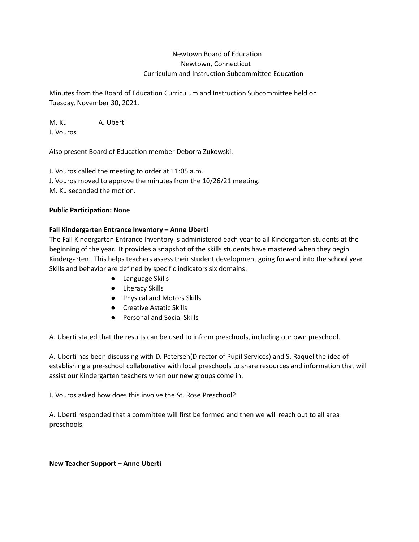# Newtown Board of Education Newtown, Connecticut Curriculum and Instruction Subcommittee Education

Minutes from the Board of Education Curriculum and Instruction Subcommittee held on Tuesday, November 30, 2021.

M. Ku A. Uberti J. Vouros

Also present Board of Education member Deborra Zukowski.

J. Vouros called the meeting to order at 11:05 a.m. J. Vouros moved to approve the minutes from the 10/26/21 meeting. M. Ku seconded the motion.

### **Public Participation:** None

### **Fall Kindergarten Entrance Inventory – Anne Uberti**

The Fall Kindergarten Entrance Inventory is administered each year to all Kindergarten students at the beginning of the year. It provides a snapshot of the skills students have mastered when they begin Kindergarten. This helps teachers assess their student development going forward into the school year. Skills and behavior are defined by specific indicators six domains:

- Language Skills
- Literacy Skills
- Physical and Motors Skills
- Creative Astatic Skills
- Personal and Social Skills

A. Uberti stated that the results can be used to inform preschools, including our own preschool.

A. Uberti has been discussing with D. Petersen(Director of Pupil Services) and S. Raquel the idea of establishing a pre-school collaborative with local preschools to share resources and information that will assist our Kindergarten teachers when our new groups come in.

J. Vouros asked how does this involve the St. Rose Preschool?

A. Uberti responded that a committee will first be formed and then we will reach out to all area preschools.

**New Teacher Support – Anne Uberti**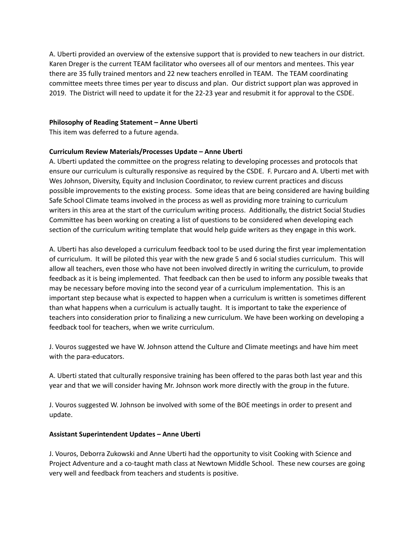A. Uberti provided an overview of the extensive support that is provided to new teachers in our district. Karen Dreger is the current TEAM facilitator who oversees all of our mentors and mentees. This year there are 35 fully trained mentors and 22 new teachers enrolled in TEAM. The TEAM coordinating committee meets three times per year to discuss and plan. Our district support plan was approved in 2019. The District will need to update it for the 22-23 year and resubmit it for approval to the CSDE.

### **Philosophy of Reading Statement – Anne Uberti**

This item was deferred to a future agenda.

## **Curriculum Review Materials/Processes Update – Anne Uberti**

A. Uberti updated the committee on the progress relating to developing processes and protocols that ensure our curriculum is culturally responsive as required by the CSDE. F. Purcaro and A. Uberti met with Wes Johnson, Diversity, Equity and Inclusion Coordinator, to review current practices and discuss possible improvements to the existing process. Some ideas that are being considered are having building Safe School Climate teams involved in the process as well as providing more training to curriculum writers in this area at the start of the curriculum writing process. Additionally, the district Social Studies Committee has been working on creating a list of questions to be considered when developing each section of the curriculum writing template that would help guide writers as they engage in this work.

A. Uberti has also developed a curriculum feedback tool to be used during the first year implementation of curriculum. It will be piloted this year with the new grade 5 and 6 social studies curriculum. This will allow all teachers, even those who have not been involved directly in writing the curriculum, to provide feedback as it is being implemented. That feedback can then be used to inform any possible tweaks that may be necessary before moving into the second year of a curriculum implementation. This is an important step because what is expected to happen when a curriculum is written is sometimes different than what happens when a curriculum is actually taught. It is important to take the experience of teachers into consideration prior to finalizing a new curriculum. We have been working on developing a feedback tool for teachers, when we write curriculum.

J. Vouros suggested we have W. Johnson attend the Culture and Climate meetings and have him meet with the para-educators.

A. Uberti stated that culturally responsive training has been offered to the paras both last year and this year and that we will consider having Mr. Johnson work more directly with the group in the future.

J. Vouros suggested W. Johnson be involved with some of the BOE meetings in order to present and update.

### **Assistant Superintendent Updates – Anne Uberti**

J. Vouros, Deborra Zukowski and Anne Uberti had the opportunity to visit Cooking with Science and Project Adventure and a co-taught math class at Newtown Middle School. These new courses are going very well and feedback from teachers and students is positive.